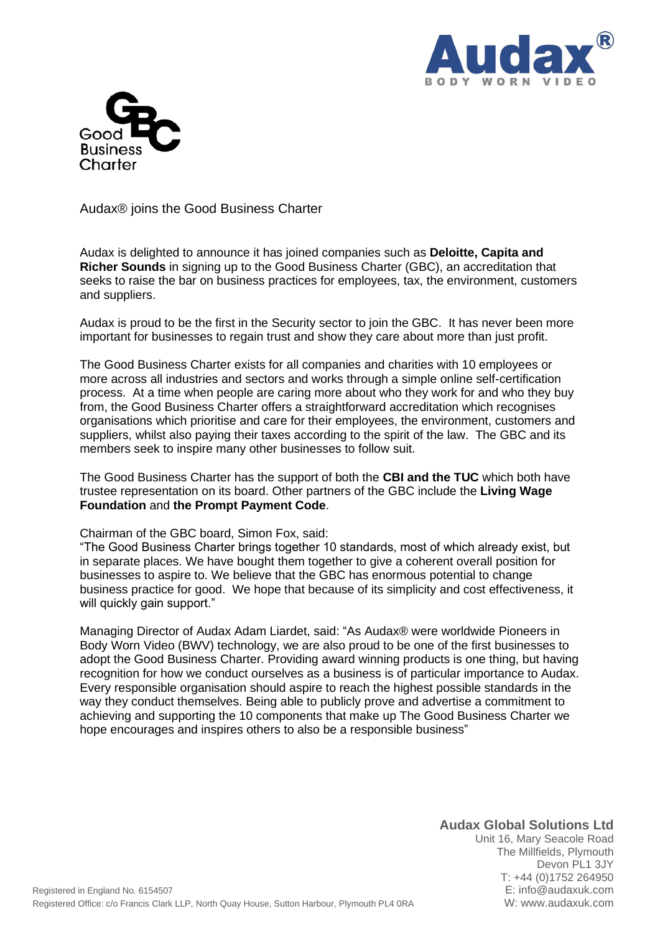



Audax® joins the Good Business Charter

Audax is delighted to announce it has joined companies such as **Deloitte, Capita and Richer Sounds** in signing up to the Good Business Charter (GBC), an accreditation that seeks to raise the bar on business practices for employees, tax, the environment, customers and suppliers.

Audax is proud to be the first in the Security sector to join the GBC. It has never been more important for businesses to regain trust and show they care about more than just profit.

The Good Business Charter exists for all companies and charities with 10 employees or more across all industries and sectors and works through a simple online self-certification process. At a time when people are caring more about who they work for and who they buy from, the Good Business Charter offers a straightforward accreditation which recognises organisations which prioritise and care for their employees, the environment, customers and suppliers, whilst also paying their taxes according to the spirit of the law. The GBC and its members seek to inspire many other businesses to follow suit.

The Good Business Charter has the support of both the **CBI and the TUC** which both have trustee representation on its board. Other partners of the GBC include the **Living Wage Foundation** and **the Prompt Payment Code**.

## Chairman of the GBC board, Simon Fox, said:

"The Good Business Charter brings together 10 standards, most of which already exist, but in separate places. We have bought them together to give a coherent overall position for businesses to aspire to. We believe that the GBC has enormous potential to change business practice for good. We hope that because of its simplicity and cost effectiveness, it will quickly gain support."

Managing Director of Audax Adam Liardet, said: "As Audax® were worldwide Pioneers in Body Worn Video (BWV) technology, we are also proud to be one of the first businesses to adopt the Good Business Charter. Providing award winning products is one thing, but having recognition for how we conduct ourselves as a business is of particular importance to Audax. Every responsible organisation should aspire to reach the highest possible standards in the way they conduct themselves. Being able to publicly prove and advertise a commitment to achieving and supporting the 10 components that make up The Good Business Charter we hope encourages and inspires others to also be a responsible business"

## **Audax Global Solutions Ltd**

Unit 16, Mary Seacole Road The Millfields, Plymouth Devon PL1 3JY T: +44 (0)1752 264950